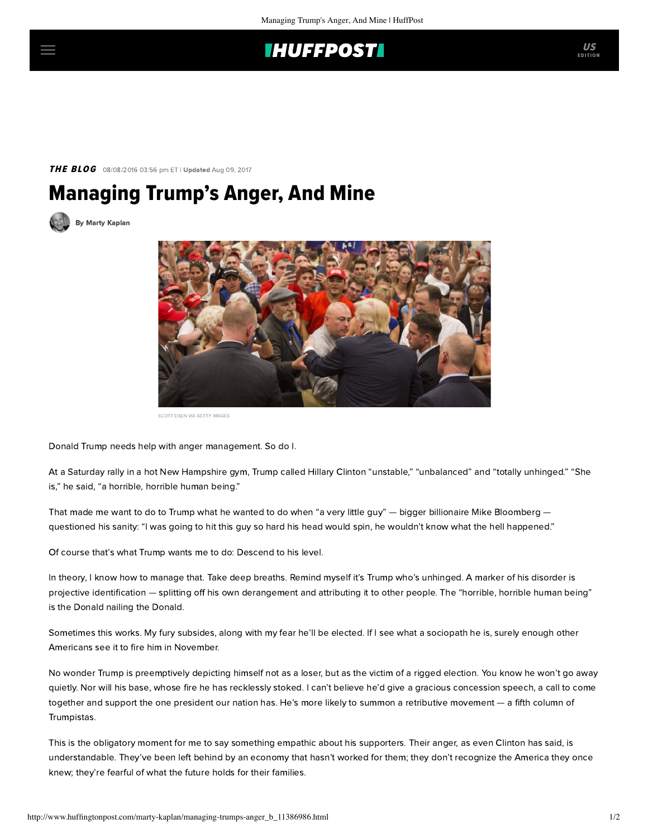# **IHUFFPOSTI**

# THE BLOG 08/08/2016 03:56 pm ET | Updated Aug 09, 2017

# Managing Trump's Anger, And Mine

[By Marty Kaplan](http://www.huffingtonpost.com/author/marty-kaplan)



SCOTT EISEN VIA GETTY IMAGES

Donald Trump needs help with anger management. So do I.

At a Saturday rally in a hot New Hampshire gym, Trump [called](http://www.cnn.com/2016/08/06/politics/donald-trump-hillary-clinton-short-circuit/) Hillary Clinton "unstable," "unbalanced" and "totally unhinged." "She is," he said, "a horrible, horrible human being."

That made me want to do to Trump what he wanted to do when ["a very little guy"](http://www.nytimes.com/2016/07/29/us/politics/donald-trump-steps-up-feud-with-michael-bloomberg.html?_r=1) — bigger billionaire Mike Bloomberg questioned his sanity: "I was going to hit this guy so hard his head would spin, he wouldn't know what the hell happened."

Of course that's what Trump wants me to do: Descend to his level.

In theory, I know how to manage that. Take deep breaths. Remind myself it's Trump who's unhinged. A marker of his disorder is projective identification — splitting off his own derangement and attributing it to other people. The "horrible, horrible human being" is the Donald nailing the Donald.

Sometimes this works. My fury subsides, along with my fear he'll be elected. If I see what a sociopath he is, surely enough other Americans see it to fire him in November.

No wonder Trump is preemptively depicting himself not as a loser, but as the victim of a rigged election. You know he won't go away quietly. Nor will his base, whose fire he has recklessly stoked. I can't believe he'd give a gracious concession speech, a call to come together and support the one president our nation has. He's more likely to summon a retributive movement — a fifth column of Trumpistas.

This is the obligatory moment for me to say something empathic about his supporters. Their anger, as even Clinton has said, is understandable. They've been left behind by an economy that hasn't worked for them; they don't recognize the America they once knew; they're fearful of what the future holds for their families.